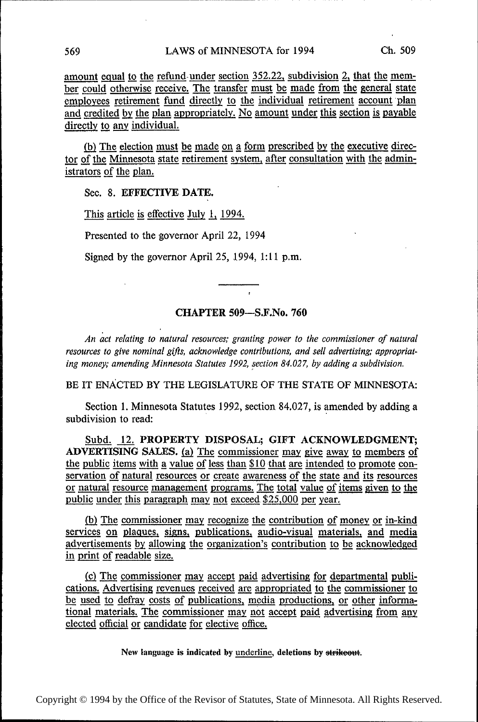amount equal to the refund under section 352.22, subdivision 2, that the member could otherwise receive. The transfer must be made from the general state employees retirement fund directly to the individual retirement account plan and credited by the plan appropriately. No amount under this section is payable directly to any individual.

 $(b)$  The election must be made on a form prescribed by the executive director of the Minnesota state retirement system, after consultation with the administrators of the plan.

Sec. 8. EFFECTIVE DATE.

This article is effective July 1, 1994.

Presented to the governor April 22, 1994

Signed by the governor April 25, 1994,  $1:11$  p.m.

## CHAPTER 509-S.F.No. 760

r

An act relating to natural resources; granting power to the commissioner of natural resources to give nominal gifts, acknowledge contributions, and sell advertising; appropriating money; amending Minnesota Statutes 1992, section 84.027, by adding a subdivision.

BE IT ENACTED BY THE LEGISLATURE OF THE STATE OF MINNESOTA:

Section 1. Minnesota Statutes 1992, section 84.027, is amended by adding a subdivision to read:

Subd. 12. PROPERTY DISPOSAL; GIFT ACKNOWLEDGMENT; ADVERTISING SALES. (a) The commissioner may give away to members of the public items with a value of less than \$10 that are intended to promote conservation of natural resources or create awareness of the state and its resources or natural resource management programs. The total value of items given to the public under this paragraph may not exceed.\$25,000 per year.

(b) The commissioner may recognize the contribution of money or in-kind services on plaques, signs, publications, audio-visual materials, and media advertisements by allowing the organization's contribution to be acknowledged in print of readable size.

(c) The commissioner may accept paid advertising for departmental publications. Advertising revenues received are appropriated to the commissioner to be used to defray costs of publications, media productions, or other informational materials. The commissioner may not accept paid advertising from any elected official or candidate for elective office.

New language is indicated by underline, deletions by strikeout.